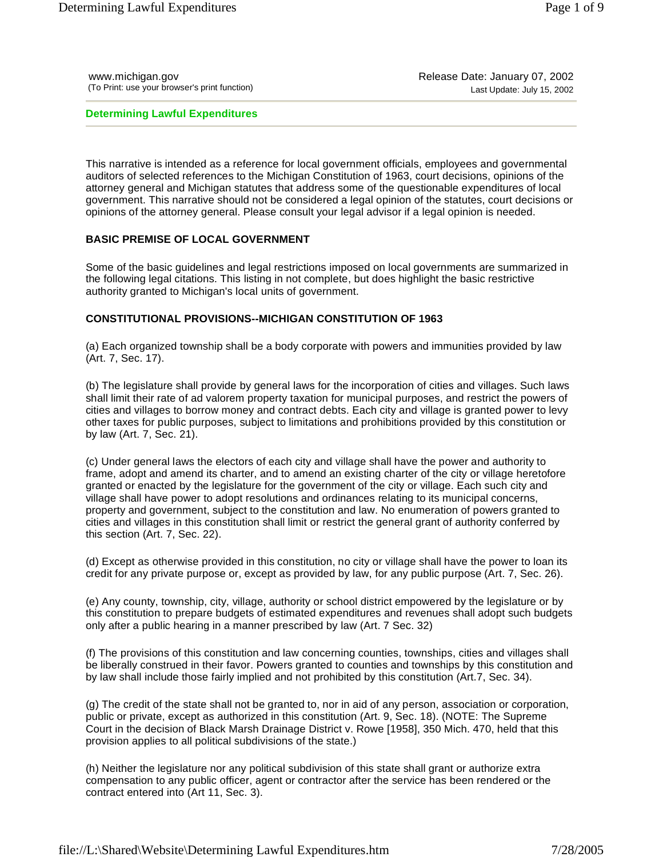www.michigan.gov (To Print: use your browser's print function)

**Determining Lawful Expenditures**

This narrative is intended as a reference for local government officials, employees and governmental auditors of selected references to the Michigan Constitution of 1963, court decisions, opinions of the attorney general and Michigan statutes that address some of the questionable expenditures of local government. This narrative should not be considered a legal opinion of the statutes, court decisions or opinions of the attorney general. Please consult your legal advisor if a legal opinion is needed.

### **BASIC PREMISE OF LOCAL GOVERNMENT**

Some of the basic guidelines and legal restrictions imposed on local governments are summarized in the following legal citations. This listing in not complete, but does highlight the basic restrictive authority granted to Michigan's local units of government.

## **CONSTITUTIONAL PROVISIONS--MICHIGAN CONSTITUTION OF 1963**

(a) Each organized township shall be a body corporate with powers and immunities provided by law (Art. 7, Sec. 17).

(b) The legislature shall provide by general laws for the incorporation of cities and villages. Such laws shall limit their rate of ad valorem property taxation for municipal purposes, and restrict the powers of cities and villages to borrow money and contract debts. Each city and village is granted power to levy other taxes for public purposes, subject to limitations and prohibitions provided by this constitution or by law (Art. 7, Sec. 21).

(c) Under general laws the electors of each city and village shall have the power and authority to frame, adopt and amend its charter, and to amend an existing charter of the city or village heretofore granted or enacted by the legislature for the government of the city or village. Each such city and village shall have power to adopt resolutions and ordinances relating to its municipal concerns, property and government, subject to the constitution and law. No enumeration of powers granted to cities and villages in this constitution shall limit or restrict the general grant of authority conferred by this section (Art. 7, Sec. 22).

(d) Except as otherwise provided in this constitution, no city or village shall have the power to loan its credit for any private purpose or, except as provided by law, for any public purpose (Art. 7, Sec. 26).

(e) Any county, township, city, village, authority or school district empowered by the legislature or by this constitution to prepare budgets of estimated expenditures and revenues shall adopt such budgets only after a public hearing in a manner prescribed by law (Art. 7 Sec. 32)

(f) The provisions of this constitution and law concerning counties, townships, cities and villages shall be liberally construed in their favor. Powers granted to counties and townships by this constitution and by law shall include those fairly implied and not prohibited by this constitution (Art.7, Sec. 34).

(g) The credit of the state shall not be granted to, nor in aid of any person, association or corporation, public or private, except as authorized in this constitution (Art. 9, Sec. 18). (NOTE: The Supreme Court in the decision of Black Marsh Drainage District v. Rowe [1958], 350 Mich. 470, held that this provision applies to all political subdivisions of the state.)

(h) Neither the legislature nor any political subdivision of this state shall grant or authorize extra compensation to any public officer, agent or contractor after the service has been rendered or the contract entered into (Art 11, Sec. 3).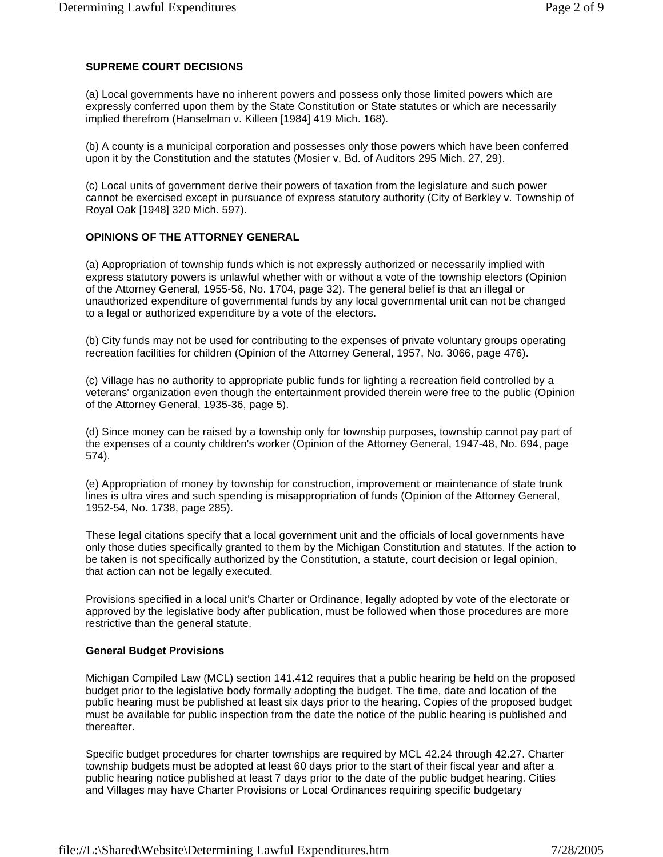## **SUPREME COURT DECISIONS**

(a) Local governments have no inherent powers and possess only those limited powers which are expressly conferred upon them by the State Constitution or State statutes or which are necessarily implied therefrom (Hanselman v. Killeen [1984] 419 Mich. 168).

(b) A county is a municipal corporation and possesses only those powers which have been conferred upon it by the Constitution and the statutes (Mosier v. Bd. of Auditors 295 Mich. 27, 29).

(c) Local units of government derive their powers of taxation from the legislature and such power cannot be exercised except in pursuance of express statutory authority (City of Berkley v. Township of Royal Oak [1948] 320 Mich. 597).

### **OPINIONS OF THE ATTORNEY GENERAL**

(a) Appropriation of township funds which is not expressly authorized or necessarily implied with express statutory powers is unlawful whether with or without a vote of the township electors (Opinion of the Attorney General, 1955-56, No. 1704, page 32). The general belief is that an illegal or unauthorized expenditure of governmental funds by any local governmental unit can not be changed to a legal or authorized expenditure by a vote of the electors.

(b) City funds may not be used for contributing to the expenses of private voluntary groups operating recreation facilities for children (Opinion of the Attorney General, 1957, No. 3066, page 476).

(c) Village has no authority to appropriate public funds for lighting a recreation field controlled by a veterans' organization even though the entertainment provided therein were free to the public (Opinion of the Attorney General, 1935-36, page 5).

(d) Since money can be raised by a township only for township purposes, township cannot pay part of the expenses of a county children's worker (Opinion of the Attorney General, 1947-48, No. 694, page 574).

(e) Appropriation of money by township for construction, improvement or maintenance of state trunk lines is ultra vires and such spending is misappropriation of funds (Opinion of the Attorney General, 1952-54, No. 1738, page 285).

These legal citations specify that a local government unit and the officials of local governments have only those duties specifically granted to them by the Michigan Constitution and statutes. If the action to be taken is not specifically authorized by the Constitution, a statute, court decision or legal opinion, that action can not be legally executed.

Provisions specified in a local unit's Charter or Ordinance, legally adopted by vote of the electorate or approved by the legislative body after publication, must be followed when those procedures are more restrictive than the general statute.

#### **General Budget Provisions**

Michigan Compiled Law (MCL) section 141.412 requires that a public hearing be held on the proposed budget prior to the legislative body formally adopting the budget. The time, date and location of the public hearing must be published at least six days prior to the hearing. Copies of the proposed budget must be available for public inspection from the date the notice of the public hearing is published and thereafter.

Specific budget procedures for charter townships are required by MCL 42.24 through 42.27. Charter township budgets must be adopted at least 60 days prior to the start of their fiscal year and after a public hearing notice published at least 7 days prior to the date of the public budget hearing. Cities and Villages may have Charter Provisions or Local Ordinances requiring specific budgetary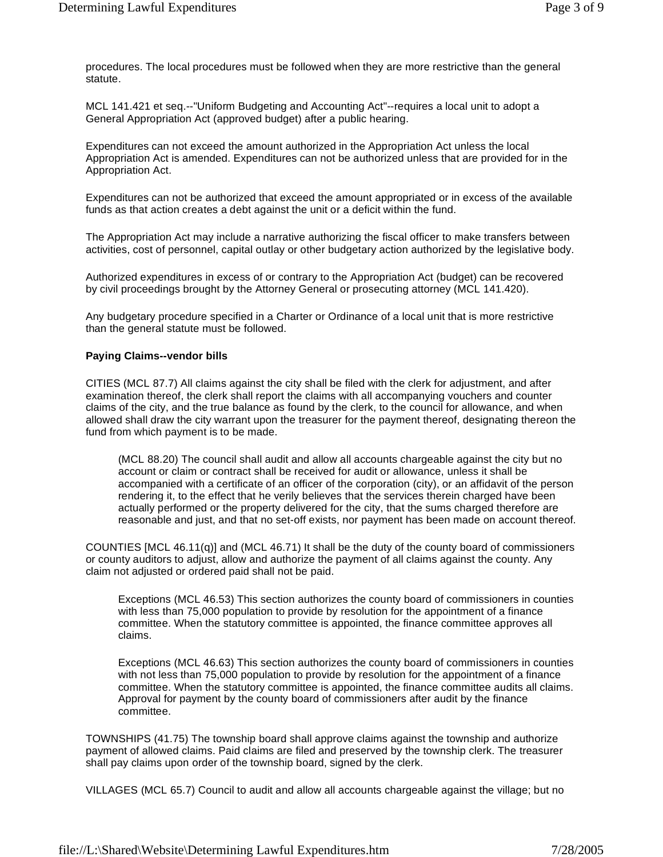procedures. The local procedures must be followed when they are more restrictive than the general statute.

MCL 141.421 et seq.--"Uniform Budgeting and Accounting Act"--requires a local unit to adopt a General Appropriation Act (approved budget) after a public hearing.

Expenditures can not exceed the amount authorized in the Appropriation Act unless the local Appropriation Act is amended. Expenditures can not be authorized unless that are provided for in the Appropriation Act.

Expenditures can not be authorized that exceed the amount appropriated or in excess of the available funds as that action creates a debt against the unit or a deficit within the fund.

The Appropriation Act may include a narrative authorizing the fiscal officer to make transfers between activities, cost of personnel, capital outlay or other budgetary action authorized by the legislative body.

Authorized expenditures in excess of or contrary to the Appropriation Act (budget) can be recovered by civil proceedings brought by the Attorney General or prosecuting attorney (MCL 141.420).

Any budgetary procedure specified in a Charter or Ordinance of a local unit that is more restrictive than the general statute must be followed.

#### **Paying Claims--vendor bills**

CITIES (MCL 87.7) All claims against the city shall be filed with the clerk for adjustment, and after examination thereof, the clerk shall report the claims with all accompanying vouchers and counter claims of the city, and the true balance as found by the clerk, to the council for allowance, and when allowed shall draw the city warrant upon the treasurer for the payment thereof, designating thereon the fund from which payment is to be made.

(MCL 88.20) The council shall audit and allow all accounts chargeable against the city but no account or claim or contract shall be received for audit or allowance, unless it shall be accompanied with a certificate of an officer of the corporation (city), or an affidavit of the person rendering it, to the effect that he verily believes that the services therein charged have been actually performed or the property delivered for the city, that the sums charged therefore are reasonable and just, and that no set-off exists, nor payment has been made on account thereof.

COUNTIES [MCL 46.11(q)] and (MCL 46.71) It shall be the duty of the county board of commissioners or county auditors to adjust, allow and authorize the payment of all claims against the county. Any claim not adjusted or ordered paid shall not be paid.

Exceptions (MCL 46.53) This section authorizes the county board of commissioners in counties with less than 75,000 population to provide by resolution for the appointment of a finance committee. When the statutory committee is appointed, the finance committee approves all claims.

Exceptions (MCL 46.63) This section authorizes the county board of commissioners in counties with not less than 75,000 population to provide by resolution for the appointment of a finance committee. When the statutory committee is appointed, the finance committee audits all claims. Approval for payment by the county board of commissioners after audit by the finance committee.

TOWNSHIPS (41.75) The township board shall approve claims against the township and authorize payment of allowed claims. Paid claims are filed and preserved by the township clerk. The treasurer shall pay claims upon order of the township board, signed by the clerk.

VILLAGES (MCL 65.7) Council to audit and allow all accounts chargeable against the village; but no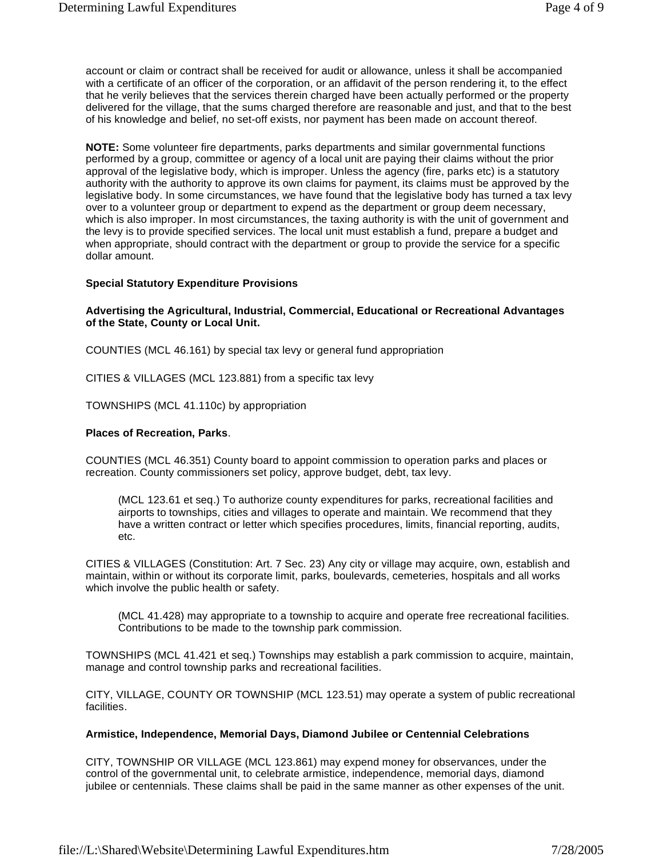account or claim or contract shall be received for audit or allowance, unless it shall be accompanied with a certificate of an officer of the corporation, or an affidavit of the person rendering it, to the effect that he verily believes that the services therein charged have been actually performed or the property delivered for the village, that the sums charged therefore are reasonable and just, and that to the best of his knowledge and belief, no set-off exists, nor payment has been made on account thereof.

**NOTE:** Some volunteer fire departments, parks departments and similar governmental functions performed by a group, committee or agency of a local unit are paying their claims without the prior approval of the legislative body, which is improper. Unless the agency (fire, parks etc) is a statutory authority with the authority to approve its own claims for payment, its claims must be approved by the legislative body. In some circumstances, we have found that the legislative body has turned a tax levy over to a volunteer group or department to expend as the department or group deem necessary, which is also improper. In most circumstances, the taxing authority is with the unit of government and the levy is to provide specified services. The local unit must establish a fund, prepare a budget and when appropriate, should contract with the department or group to provide the service for a specific dollar amount.

#### **Special Statutory Expenditure Provisions**

#### **Advertising the Agricultural, Industrial, Commercial, Educational or Recreational Advantages of the State, County or Local Unit.**

COUNTIES (MCL 46.161) by special tax levy or general fund appropriation

CITIES & VILLAGES (MCL 123.881) from a specific tax levy

TOWNSHIPS (MCL 41.110c) by appropriation

#### **Places of Recreation, Parks**.

COUNTIES (MCL 46.351) County board to appoint commission to operation parks and places or recreation. County commissioners set policy, approve budget, debt, tax levy.

(MCL 123.61 et seq.) To authorize county expenditures for parks, recreational facilities and airports to townships, cities and villages to operate and maintain. We recommend that they have a written contract or letter which specifies procedures, limits, financial reporting, audits, etc.

CITIES & VILLAGES (Constitution: Art. 7 Sec. 23) Any city or village may acquire, own, establish and maintain, within or without its corporate limit, parks, boulevards, cemeteries, hospitals and all works which involve the public health or safety.

(MCL 41.428) may appropriate to a township to acquire and operate free recreational facilities. Contributions to be made to the township park commission.

TOWNSHIPS (MCL 41.421 et seq.) Townships may establish a park commission to acquire, maintain, manage and control township parks and recreational facilities.

CITY, VILLAGE, COUNTY OR TOWNSHIP (MCL 123.51) may operate a system of public recreational facilities.

#### **Armistice, Independence, Memorial Days, Diamond Jubilee or Centennial Celebrations**

CITY, TOWNSHIP OR VILLAGE (MCL 123.861) may expend money for observances, under the control of the governmental unit, to celebrate armistice, independence, memorial days, diamond jubilee or centennials. These claims shall be paid in the same manner as other expenses of the unit.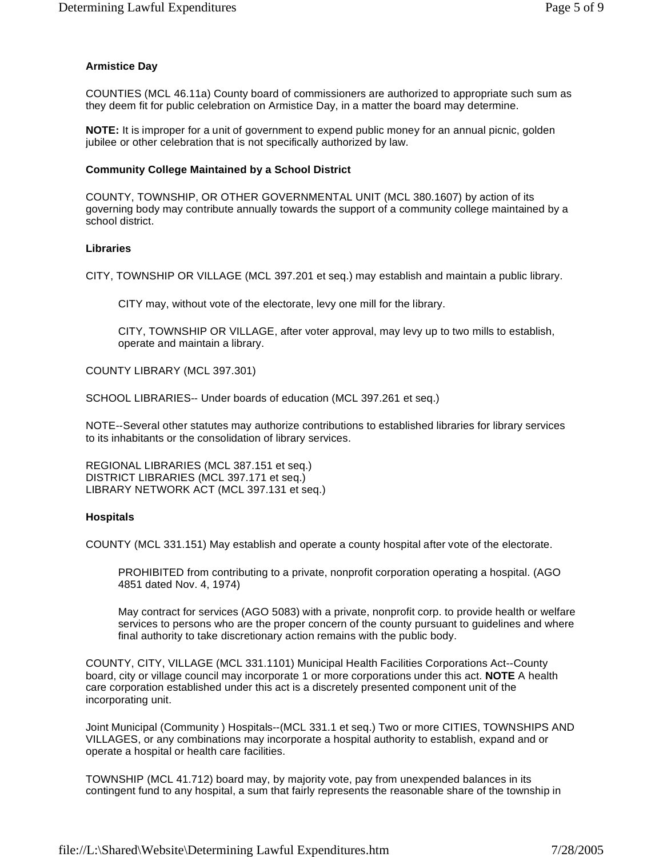## **Armistice Day**

COUNTIES (MCL 46.11a) County board of commissioners are authorized to appropriate such sum as they deem fit for public celebration on Armistice Day, in a matter the board may determine.

**NOTE:** It is improper for a unit of government to expend public money for an annual picnic, golden jubilee or other celebration that is not specifically authorized by law.

#### **Community College Maintained by a School District**

COUNTY, TOWNSHIP, OR OTHER GOVERNMENTAL UNIT (MCL 380.1607) by action of its governing body may contribute annually towards the support of a community college maintained by a school district.

#### **Libraries**

CITY, TOWNSHIP OR VILLAGE (MCL 397.201 et seq.) may establish and maintain a public library.

CITY may, without vote of the electorate, levy one mill for the library.

CITY, TOWNSHIP OR VILLAGE, after voter approval, may levy up to two mills to establish, operate and maintain a library.

COUNTY LIBRARY (MCL 397.301)

SCHOOL LIBRARIES-- Under boards of education (MCL 397.261 et seq.)

NOTE--Several other statutes may authorize contributions to established libraries for library services to its inhabitants or the consolidation of library services.

REGIONAL LIBRARIES (MCL 387.151 et seq.) DISTRICT LIBRARIES (MCL 397.171 et seq.) LIBRARY NETWORK ACT (MCL 397.131 et seq.)

### **Hospitals**

COUNTY (MCL 331.151) May establish and operate a county hospital after vote of the electorate.

PROHIBITED from contributing to a private, nonprofit corporation operating a hospital. (AGO 4851 dated Nov. 4, 1974)

May contract for services (AGO 5083) with a private, nonprofit corp. to provide health or welfare services to persons who are the proper concern of the county pursuant to guidelines and where final authority to take discretionary action remains with the public body.

COUNTY, CITY, VILLAGE (MCL 331.1101) Municipal Health Facilities Corporations Act--County board, city or village council may incorporate 1 or more corporations under this act. **NOTE** A health care corporation established under this act is a discretely presented component unit of the incorporating unit.

Joint Municipal (Community ) Hospitals--(MCL 331.1 et seq.) Two or more CITIES, TOWNSHIPS AND VILLAGES, or any combinations may incorporate a hospital authority to establish, expand and or operate a hospital or health care facilities.

TOWNSHIP (MCL 41.712) board may, by majority vote, pay from unexpended balances in its contingent fund to any hospital, a sum that fairly represents the reasonable share of the township in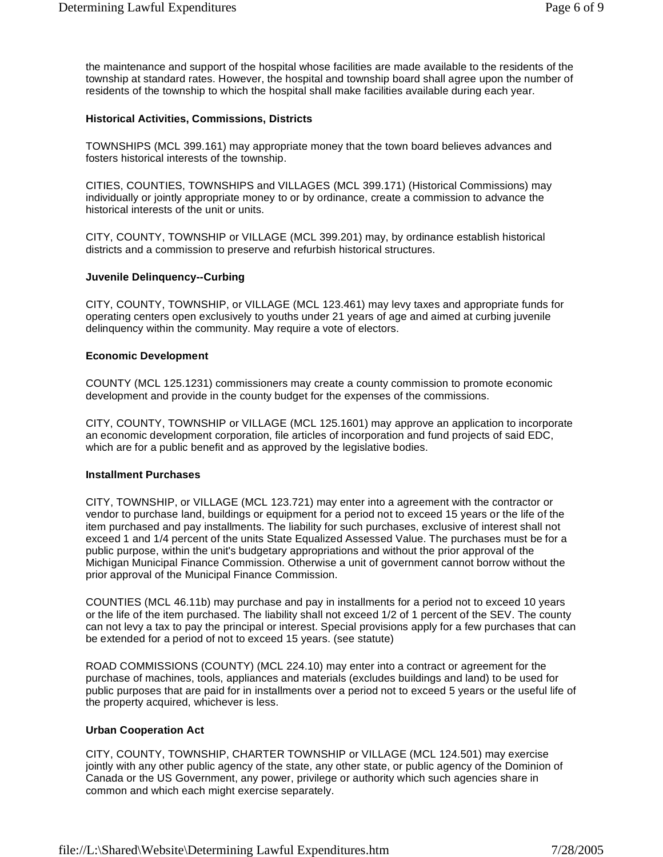the maintenance and support of the hospital whose facilities are made available to the residents of the township at standard rates. However, the hospital and township board shall agree upon the number of residents of the township to which the hospital shall make facilities available during each year.

#### **Historical Activities, Commissions, Districts**

TOWNSHIPS (MCL 399.161) may appropriate money that the town board believes advances and fosters historical interests of the township.

CITIES, COUNTIES, TOWNSHIPS and VILLAGES (MCL 399.171) (Historical Commissions) may individually or jointly appropriate money to or by ordinance, create a commission to advance the historical interests of the unit or units.

CITY, COUNTY, TOWNSHIP or VILLAGE (MCL 399.201) may, by ordinance establish historical districts and a commission to preserve and refurbish historical structures.

#### **Juvenile Delinquency--Curbing**

CITY, COUNTY, TOWNSHIP, or VILLAGE (MCL 123.461) may levy taxes and appropriate funds for operating centers open exclusively to youths under 21 years of age and aimed at curbing juvenile delinquency within the community. May require a vote of electors.

#### **Economic Development**

COUNTY (MCL 125.1231) commissioners may create a county commission to promote economic development and provide in the county budget for the expenses of the commissions.

CITY, COUNTY, TOWNSHIP or VILLAGE (MCL 125.1601) may approve an application to incorporate an economic development corporation, file articles of incorporation and fund projects of said EDC, which are for a public benefit and as approved by the legislative bodies.

#### **Installment Purchases**

CITY, TOWNSHIP, or VILLAGE (MCL 123.721) may enter into a agreement with the contractor or vendor to purchase land, buildings or equipment for a period not to exceed 15 years or the life of the item purchased and pay installments. The liability for such purchases, exclusive of interest shall not exceed 1 and 1/4 percent of the units State Equalized Assessed Value. The purchases must be for a public purpose, within the unit's budgetary appropriations and without the prior approval of the Michigan Municipal Finance Commission. Otherwise a unit of government cannot borrow without the prior approval of the Municipal Finance Commission.

COUNTIES (MCL 46.11b) may purchase and pay in installments for a period not to exceed 10 years or the life of the item purchased. The liability shall not exceed 1/2 of 1 percent of the SEV. The county can not levy a tax to pay the principal or interest. Special provisions apply for a few purchases that can be extended for a period of not to exceed 15 years. (see statute)

ROAD COMMISSIONS (COUNTY) (MCL 224.10) may enter into a contract or agreement for the purchase of machines, tools, appliances and materials (excludes buildings and land) to be used for public purposes that are paid for in installments over a period not to exceed 5 years or the useful life of the property acquired, whichever is less.

### **Urban Cooperation Act**

CITY, COUNTY, TOWNSHIP, CHARTER TOWNSHIP or VILLAGE (MCL 124.501) may exercise jointly with any other public agency of the state, any other state, or public agency of the Dominion of Canada or the US Government, any power, privilege or authority which such agencies share in common and which each might exercise separately.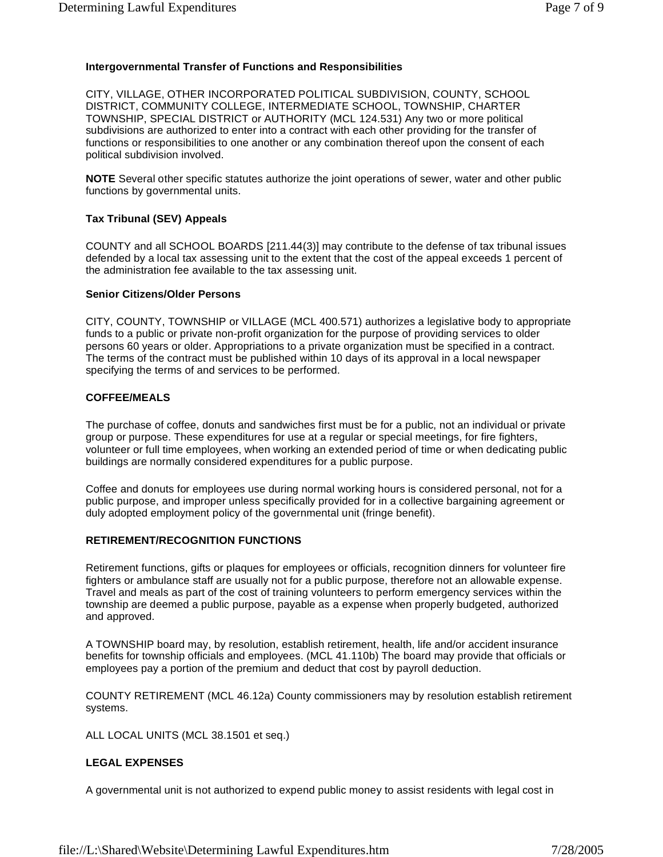## **Intergovernmental Transfer of Functions and Responsibilities**

CITY, VILLAGE, OTHER INCORPORATED POLITICAL SUBDIVISION, COUNTY, SCHOOL DISTRICT, COMMUNITY COLLEGE, INTERMEDIATE SCHOOL, TOWNSHIP, CHARTER TOWNSHIP, SPECIAL DISTRICT or AUTHORITY (MCL 124.531) Any two or more political subdivisions are authorized to enter into a contract with each other providing for the transfer of functions or responsibilities to one another or any combination thereof upon the consent of each political subdivision involved.

**NOTE** Several other specific statutes authorize the joint operations of sewer, water and other public functions by governmental units.

# **Tax Tribunal (SEV) Appeals**

COUNTY and all SCHOOL BOARDS [211.44(3)] may contribute to the defense of tax tribunal issues defended by a local tax assessing unit to the extent that the cost of the appeal exceeds 1 percent of the administration fee available to the tax assessing unit.

## **Senior Citizens/Older Persons**

CITY, COUNTY, TOWNSHIP or VILLAGE (MCL 400.571) authorizes a legislative body to appropriate funds to a public or private non-profit organization for the purpose of providing services to older persons 60 years or older. Appropriations to a private organization must be specified in a contract. The terms of the contract must be published within 10 days of its approval in a local newspaper specifying the terms of and services to be performed.

# **COFFEE/MEALS**

The purchase of coffee, donuts and sandwiches first must be for a public, not an individual or private group or purpose. These expenditures for use at a regular or special meetings, for fire fighters, volunteer or full time employees, when working an extended period of time or when dedicating public buildings are normally considered expenditures for a public purpose.

Coffee and donuts for employees use during normal working hours is considered personal, not for a public purpose, and improper unless specifically provided for in a collective bargaining agreement or duly adopted employment policy of the governmental unit (fringe benefit).

# **RETIREMENT/RECOGNITION FUNCTIONS**

Retirement functions, gifts or plaques for employees or officials, recognition dinners for volunteer fire fighters or ambulance staff are usually not for a public purpose, therefore not an allowable expense. Travel and meals as part of the cost of training volunteers to perform emergency services within the township are deemed a public purpose, payable as a expense when properly budgeted, authorized and approved.

A TOWNSHIP board may, by resolution, establish retirement, health, life and/or accident insurance benefits for township officials and employees. (MCL 41.110b) The board may provide that officials or employees pay a portion of the premium and deduct that cost by payroll deduction.

COUNTY RETIREMENT (MCL 46.12a) County commissioners may by resolution establish retirement systems.

ALL LOCAL UNITS (MCL 38.1501 et seq.)

# **LEGAL EXPENSES**

A governmental unit is not authorized to expend public money to assist residents with legal cost in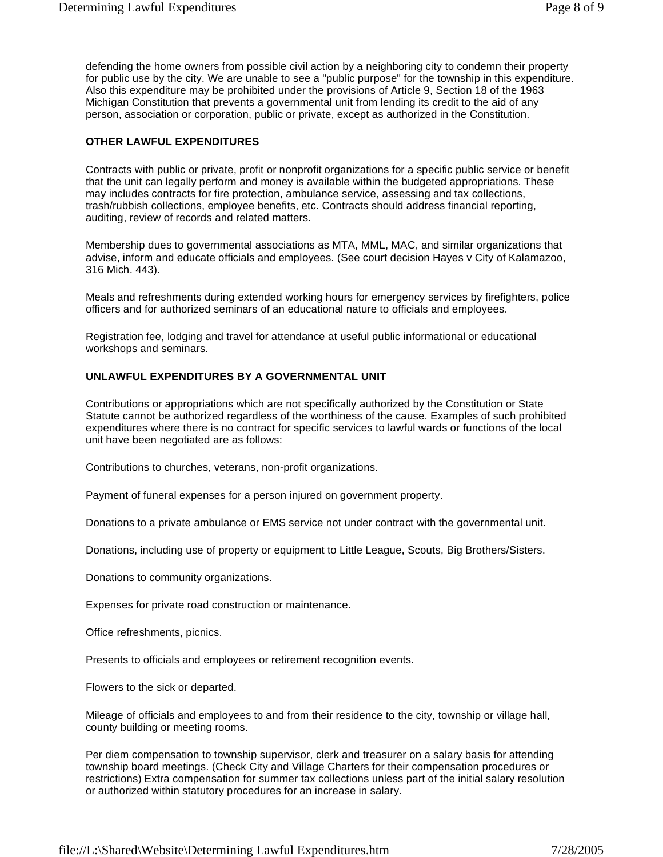defending the home owners from possible civil action by a neighboring city to condemn their property for public use by the city. We are unable to see a "public purpose" for the township in this expenditure. Also this expenditure may be prohibited under the provisions of Article 9, Section 18 of the 1963 Michigan Constitution that prevents a governmental unit from lending its credit to the aid of any person, association or corporation, public or private, except as authorized in the Constitution.

### **OTHER LAWFUL EXPENDITURES**

Contracts with public or private, profit or nonprofit organizations for a specific public service or benefit that the unit can legally perform and money is available within the budgeted appropriations. These may includes contracts for fire protection, ambulance service, assessing and tax collections, trash/rubbish collections, employee benefits, etc. Contracts should address financial reporting, auditing, review of records and related matters.

Membership dues to governmental associations as MTA, MML, MAC, and similar organizations that advise, inform and educate officials and employees. (See court decision Hayes v City of Kalamazoo, 316 Mich. 443).

Meals and refreshments during extended working hours for emergency services by firefighters, police officers and for authorized seminars of an educational nature to officials and employees.

Registration fee, lodging and travel for attendance at useful public informational or educational workshops and seminars.

## **UNLAWFUL EXPENDITURES BY A GOVERNMENTAL UNIT**

Contributions or appropriations which are not specifically authorized by the Constitution or State Statute cannot be authorized regardless of the worthiness of the cause. Examples of such prohibited expenditures where there is no contract for specific services to lawful wards or functions of the local unit have been negotiated are as follows:

Contributions to churches, veterans, non-profit organizations.

Payment of funeral expenses for a person injured on government property.

Donations to a private ambulance or EMS service not under contract with the governmental unit.

Donations, including use of property or equipment to Little League, Scouts, Big Brothers/Sisters.

Donations to community organizations.

Expenses for private road construction or maintenance.

Office refreshments, picnics.

Presents to officials and employees or retirement recognition events.

Flowers to the sick or departed.

Mileage of officials and employees to and from their residence to the city, township or village hall, county building or meeting rooms.

Per diem compensation to township supervisor, clerk and treasurer on a salary basis for attending township board meetings. (Check City and Village Charters for their compensation procedures or restrictions) Extra compensation for summer tax collections unless part of the initial salary resolution or authorized within statutory procedures for an increase in salary.